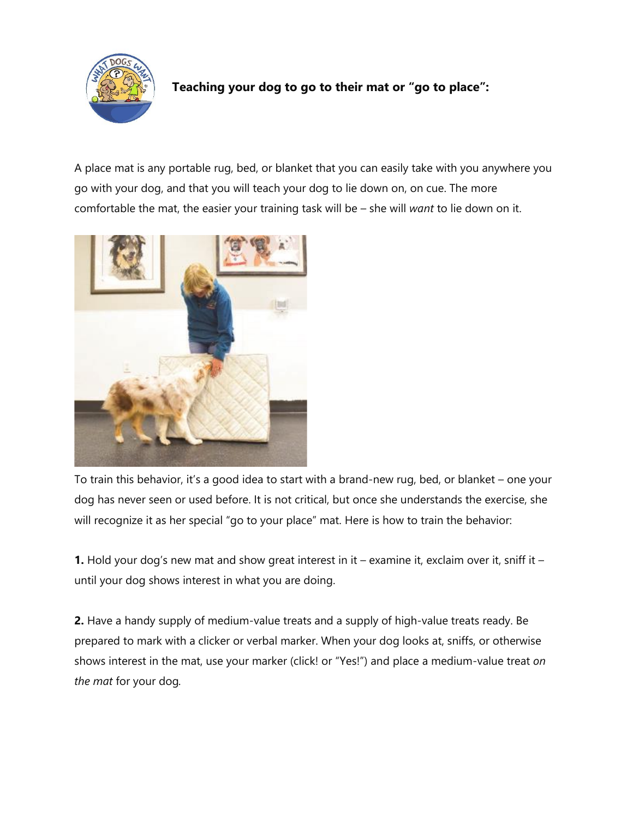

## **Teaching your dog to go to their mat or "go to place":**

A place mat is any portable rug, bed, or blanket that you can easily take with you anywhere you go with your dog, and that you will teach your dog to lie down on, on cue. The more comfortable the mat, the easier your training task will be – she will *want* to lie down on it.



To train this behavior, it's a good idea to start with a brand-new rug, bed, or blanket – one your dog has never seen or used before. It is not critical, but once she understands the exercise, she will recognize it as her special "go to your place" mat. Here is how to train the behavior:

**1.** Hold your dog's new mat and show great interest in it – examine it, exclaim over it, sniff it – until your dog shows interest in what you are doing.

**2.** Have a handy supply of medium-value treats and a supply of high-value treats ready. Be prepared to mark with a clicker or verbal marker. When your dog looks at, sniffs, or otherwise shows interest in the mat, use your marker (click! or "Yes!") and place a medium-value treat *on the mat* for your dog*.*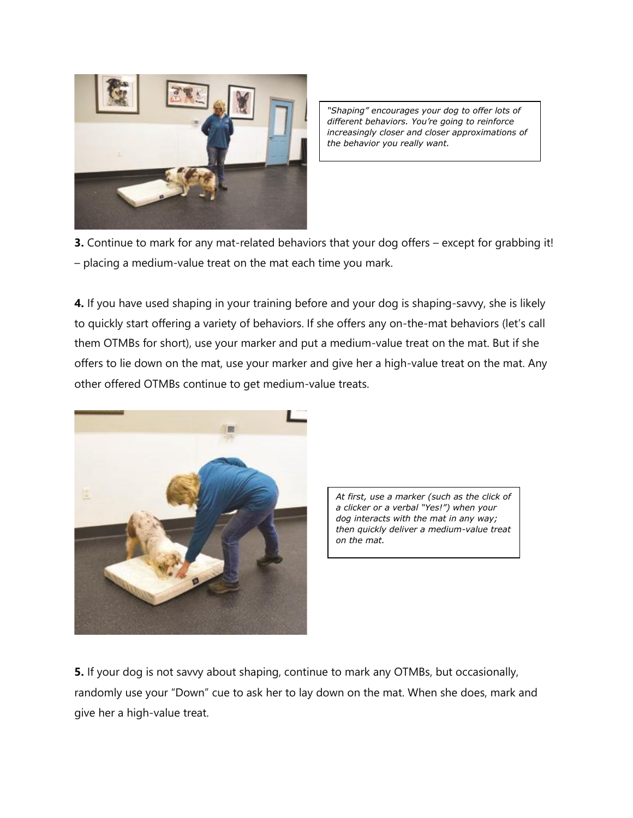

*"Shaping" encourages your dog to offer lots of different behaviors. You're going to reinforce increasingly closer and closer approximations of the behavior you really want.*

**3.** Continue to mark for any mat-related behaviors that your dog offers – except for grabbing it! – placing a medium-value treat on the mat each time you mark.

**4.** If you have used shaping in your training before and your dog is shaping-savvy, she is likely to quickly start offering a variety of behaviors. If she offers any on-the-mat behaviors (let's call them OTMBs for short), use your marker and put a medium-value treat on the mat. But if she offers to lie down on the mat, use your marker and give her a high-value treat on the mat. Any other offered OTMBs continue to get medium-value treats.



*At first, use a marker (such as the click of a clicker or a verbal "Yes!") when your dog interacts with the mat in any way; then quickly deliver a medium-value treat on the mat.*

**5.** If your dog is not savvy about shaping, continue to mark any OTMBs, but occasionally, randomly use your "Down" cue to ask her to lay down on the mat. When she does, mark and give her a high-value treat.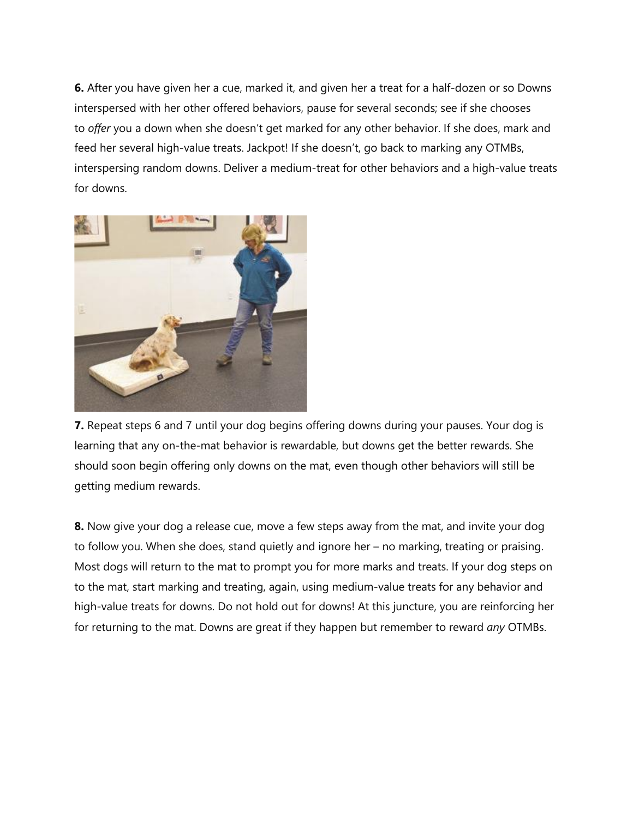**6.** After you have given her a cue, marked it, and given her a treat for a half-dozen or so Downs interspersed with her other offered behaviors, pause for several seconds; see if she chooses to *offer* you a down when she doesn't get marked for any other behavior. If she does, mark and feed her several high-value treats. Jackpot! If she doesn't, go back to marking any OTMBs, interspersing random downs. Deliver a medium-treat for other behaviors and a high-value treats for downs.



**7.** Repeat steps 6 and 7 until your dog begins offering downs during your pauses. Your dog is learning that any on-the-mat behavior is rewardable, but downs get the better rewards. She should soon begin offering only downs on the mat, even though other behaviors will still be getting medium rewards.

**8.** Now give your dog a release cue, move a few steps away from the mat, and invite your dog to follow you. When she does, stand quietly and ignore her – no marking, treating or praising. Most dogs will return to the mat to prompt you for more marks and treats. If your dog steps on to the mat, start marking and treating, again, using medium-value treats for any behavior and high-value treats for downs. Do not hold out for downs! At this juncture, you are reinforcing her for returning to the mat. Downs are great if they happen but remember to reward *any* OTMBs.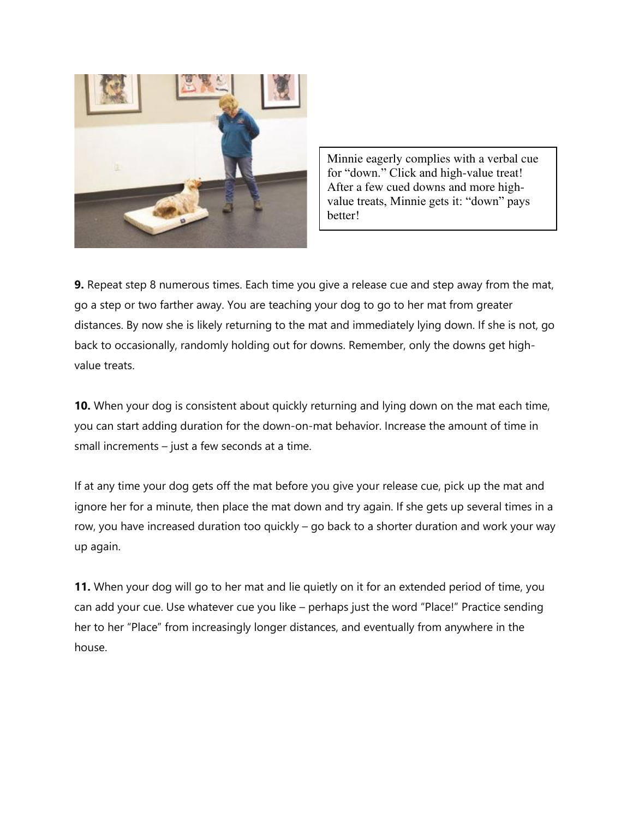

Minnie eagerly complies with a verbal cue for "down." Click and high-value treat! After a few cued downs and more highvalue treats, Minnie gets it: "down" pays better!

**9.** Repeat step 8 numerous times. Each time you give a release cue and step away from the mat, go a step or two farther away. You are teaching your dog to go to her mat from greater distances. By now she is likely returning to the mat and immediately lying down. If she is not, go back to occasionally, randomly holding out for downs. Remember, only the downs get highvalue treats.

**10.** When your dog is consistent about quickly returning and lying down on the mat each time, you can start adding duration for the down-on-mat behavior. Increase the amount of time in small increments – just a few seconds at a time.

If at any time your dog gets off the mat before you give your release cue, pick up the mat and ignore her for a minute, then place the mat down and try again. If she gets up several times in a row, you have increased duration too quickly – go back to a shorter duration and work your way up again.

**11.** When your dog will go to her mat and lie quietly on it for an extended period of time, you can add your cue. Use whatever cue you like – perhaps just the word "Place!" Practice sending her to her "Place" from increasingly longer distances, and eventually from anywhere in the house.